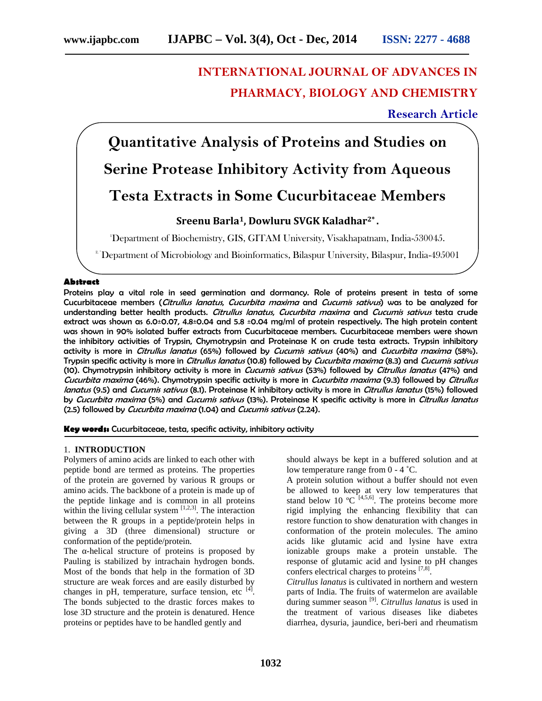# **INTERNATIONAL JOURNAL OF ADVANCES IN PHARMACY, BIOLOGY AND CHEMISTRY**

# **Research Article**

**Quantitative Analysis of Proteins and Studies on Serine Protease Inhibitory Activity from Aqueous Testa Extracts in Some Cucurbitaceae Members**

# **Sreenu Barla1, Dowluru SVGK Kaladhar2\* .**

<sup>1</sup>Department of Biochemistry, GIS, GITAM University, Visakhapatnam, India-530045.

<sup>2</sup> Department of Microbiology and Bioinformatics, Bilaspur University, Bilaspur, India-495001

#### **Abstract**

Proteins play a vital role in seed germination and dormancy. Role of proteins present in testa of some Cucurbitaceae members (*Citrullus lanatus*, *Cucurbita maxima* and *Cucumis sativus*) was to be analyzed for understanding better health products. *Citrullus lanatus*, *Cucurbita maxima* and *Cucumis sativus* testa crude extract was shown as 6.0±0.07, 4.8±0.04 and 5.8 ±0.04 mg/ml of protein respectively. The high protein content was shown in 90% isolated buffer extracts from Cucurbitaceae members. Cucurbitaceae members were shown the inhibitory activities of Trypsin, Chymotrypsin and Proteinase K on crude testa extracts. Trypsin inhibitory activity is more in *Citrullus lanatus* (65%) followed by *Cucumis sativus* (40%) and *Cucurbita maxima* (58%). Trypsin specific activity is more in *Citrullus lanatus* (10.8) followed by *Cucurbita maxima* (8.3) and *Cucumis sativus* (10). Chymotrypsin inhibitory activity is more in *Cucumis sativus* (53%) followed by *Citrullus lanatus* (47%) and *Cucurbita maxima* (46%). Chymotrypsin specific activity is more in *Cucurbita maxima* (9.3) followed by *Citrullus lanatus* (9.5) and *Cucumis sativus* (8.1). Proteinase K inhibitory activity is more in *Citrullus lanatus* (15%) followed by *Cucurbita maxima* (5%) and *Cucumis sativus* (13%). Proteinase K specific activity is more in *Citrullus lanatus* (2.5) followed by *Cucurbita maxima* (1.04) and *Cucumis sativus* (2.24).

**Key words:** Cucurbitaceae, testa, specific activity, inhibitory activity

# 1. **INTRODUCTION**

Polymers of amino acids are linked to each other with peptide bond are termed as proteins. The properties of the protein are governed by various R groups or amino acids. The backbone of a protein is made up of the peptide linkage and is common in all proteins within the living cellular system  $[1,2,3]$ . The interaction between the R groups in a peptide/protein helps in giving a 3D (three dimensional) structure or conformation of the peptide/protein.

The -helical structure of proteins is proposed by Pauling is stabilized by intrachain hydrogen bonds. Most of the bonds that help in the formation of 3D structure are weak forces and are easily disturbed by changes in pH, temperature, surface tension, etc  $^{[4]}$ .<br>The bonds subjected to the drastic forces makes to lose 3D structure and the protein is denatured. Hence proteins or peptides have to be handled gently and

should always be kept in a buffered solution and at low temperature range from 0 - 4˚C.

A protein solution without a buffer should not even be allowed to keep at very low temperatures that stand below 10  $\mathrm{°C}^{\text{^{[4,5,6]}}}$ . The proteins become more rigid implying the enhancing flexibility that can restore function to show denaturation with changes in conformation of the protein molecules. The amino acids like glutamic acid and lysine have extra ionizable groups make a protein unstable. The response of glutamic acid and lysine to pH changes confers electrical charges to proteins  $[7,8]$ .

*Citrullus lanatus* is cultivated in northern and western parts of India. The fruits of watermelon are available during summer season [9]. *Citrullus lanatus* is used in the treatment of various diseases like diabetes diarrhea, dysuria, jaundice, beri-beri and rheumatism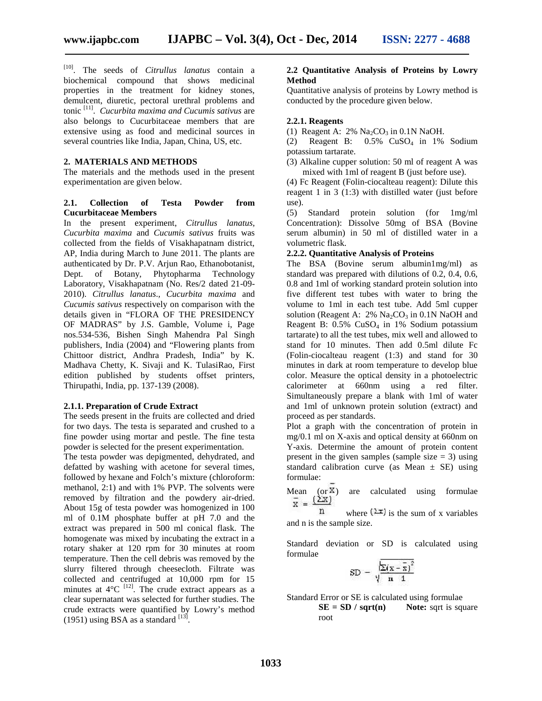[10]. The seeds of *Citrullus lanatus* contain a biochemical compound that shows medicinal properties in the treatment for kidney stones, demulcent, diuretic, pectoral urethral problems and tonic [11]. *Cucurbita maxima and Cucumis sativus* are also belongs to Cucurbitaceae members that are extensive using as food and medicinal sources in several countries like India, Japan, China, US, etc.

#### **2. MATERIALS AND METHODS**

The materials and the methods used in the present experimentation are given below.

#### **2.1. Collection of Testa Powder from Cucurbitaceae Members**

In the present experiment, *Citrullus lanatus, Cucurbita maxima* and *Cucumis sativus* fruits was collected from the fields of Visakhapatnam district, AP, India during March to June 2011. The plants are authenticated by Dr. P.V. Arjun Rao, Ethanobotanist, Dept. of Botany, Phytopharma Technology Laboratory, Visakhapatnam (No. Res/2 dated 21-09- 2010). *Citrullus lanatus*.*, Cucurbita maxima* and *Cucumis sativus* respectively on comparison with the details given in "FLORA OF THE PRESIDENCY OF MADRAS" by J.S. Gamble, Volume i, Page nos.534-536, Bishen Singh Mahendra Pal Singh publishers, India (2004) and "Flowering plants from Chittoor district, Andhra Pradesh, India" by K. Madhava Chetty, K. Sivaji and K. TulasiRao, First edition published by students offset printers, Thirupathi, India, pp. 137-139 (2008).

#### **2.1.1. Preparation of Crude Extract**

The seeds present in the fruits are collected and dried for two days. The testa is separated and crushed to a fine powder using mortar and pestle. The fine testa powder is selected for the present experimentation.

The testa powder was depigmented, dehydrated, and defatted by washing with acetone for several times, followed by hexane and Folch's mixture (chloroform: methanol, 2:1) and with 1% PVP. The solvents were removed by filtration and the powdery air-dried. About 15g of testa powder was homogenized in 100 ml of 0.1M phosphate buffer at pH 7.0 and the extract was prepared in 500 ml conical flask. The homogenate was mixed by incubating the extract in a rotary shaker at 120 rpm for 30 minutes at room temperature. Then the cell debris was removed by the slurry filtered through cheesecloth. Filtrate was collected and centrifuged at 10,000 rpm for 15 minutes at  $4^{\circ}C^{-[12]}$ . The crude extract appears as a clear supernatant was selected for further studies. The crude extracts were quantified by Lowry's method (1951) using BSA as a standard  $^{[13]}$ .

#### **2.2 Quantitative Analysis of Proteins by Lowry Method**

Quantitative analysis of proteins by Lowry method is conducted by the procedure given below.

#### **2.2.1. Reagents**

(1) Reagent A:  $2\%$  Na<sub>2</sub>CO<sub>3</sub> in 0.1N NaOH.

(2) Reagent B: 0.5% CuSO<sup>4</sup> in 1% Sodium potassium tartarate.

(3) Alkaline cupper solution: 50 ml of reagent A was mixed with 1ml of reagent B (just before use).

(4) Fc Reagent (Folin-ciocalteau reagent): Dilute this reagent 1 in 3 (1:3) with distilled water (just before use).

(5) Standard protein solution (for 1mg/ml Concentration): Dissolve 50mg of BSA (Bovine serum albumin) in 50 ml of distilled water in a volumetric flask.

# **2.2.2. Quantitative Analysis of Proteins**

The BSA (Bovine serum albumin1mg/ml) as standard was prepared with dilutions of 0.2, 0.4, 0.6, 0.8 and 1ml of working standard protein solution into five different test tubes with water to bring the volume to 1ml in each test tube. Add 5ml cupper solution (Reagent A:  $2\%$  Na<sub>2</sub>CO<sub>3</sub> in 0.1N NaOH and Reagent B:  $0.5\%$  CuSO<sub>4</sub> in 1% Sodium potassium tartarate) to all the test tubes, mix well and allowed to stand for 10 minutes. Then add 0.5ml dilute Fc (Folin-ciocalteau reagent (1:3) and stand for 30 minutes in dark at room temperature to develop blue color. Measure the optical density in a photoelectric calorimeter at 660nm using a red filter. Simultaneously prepare a blank with 1ml of water and 1ml of unknown protein solution (extract) and proceed as per standards.

Plot a graph with the concentration of protein in mg/0.1 ml on X-axis and optical density at 660nm on Y-axis. Determine the amount of protein content present in the given samples (sample size  $= 3$ ) using standard calibration curve (as Mean  $\pm$  SE) using formulae:

Mean (or  $\frac{x}{x}$ ) are calculated using formulae  $\frac{1}{x}$  =  $\frac{(\sum x)}{\sum x}$ 

where  $(\pm \mathbf{i})$  is the sum of x variables n and n is the sample size.

Standard deviation or SD is calculated using formulae

$$
\text{SD} = \sqrt{\frac{\sum (x - \bar{x})^2}{n-1}}
$$

Standard Error or SE is calculated using formulae

 $SE = SD / sqrt(n)$  **Note:** sqrt is square root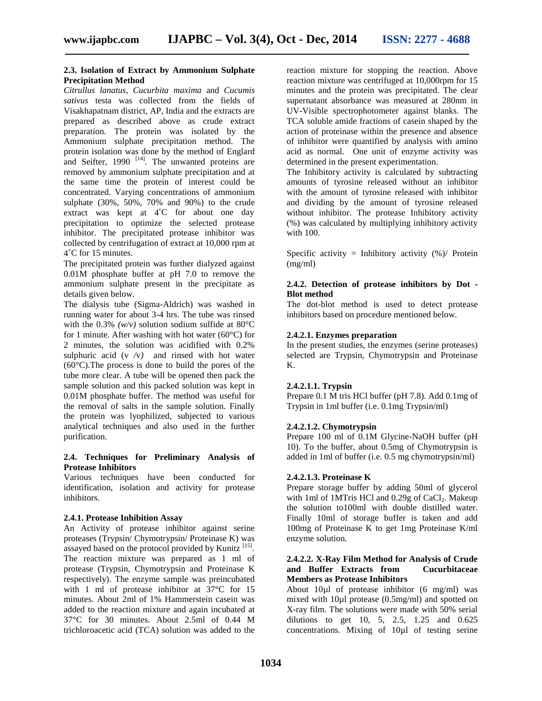#### **2.3. Isolation of Extract by Ammonium Sulphate Precipitation Method**

*Citrullus lanatus, Cucurbita maxima* and *Cucumis sativus* testa was collected from the fields of Visakhapatnam district, AP, India and the extracts are prepared as described above as crude extract preparation. The protein was isolated by the Ammonium sulphate precipitation method. The protein isolation was done by the method of Englard and Seifter, 1990  $^{[14]}$ . The unwanted proteins are removed by ammonium sulphate precipitation and at the same time the protein of interest could be concentrated. Varying concentrations of ammonium sulphate (30%, 50%, 70% and 90%) to the crude extract was kept at 4˚C for about one day precipitation to optimize the selected protease inhibitor. The precipitated protease inhibitor was collected by centrifugation of extract at 10,000 rpm at 4˚C for 15 minutes.

The precipitated protein was further dialyzed against 0.01M phosphate buffer at pH 7.0 to remove the ammonium sulphate present in the precipitate as details given below.

The dialysis tube (Sigma-Aldrich) was washed in running water for about 3-4 hrs. The tube was rinsed with the  $0.3\%$  *(w/v)* solution sodium sulfide at 80 $\degree$ C for 1 minute. After washing with hot water ( $60^{\circ}$ C) for 2 minutes, the solution was acidified with 0.2% sulphuric acid  $(v / v)$  and rinsed with hot water (60°C).The process is done to build the pores of the tube more clear. A tube will be opened then pack the sample solution and this packed solution was kept in 0.01M phosphate buffer. The method was useful for the removal of salts in the sample solution. Finally the protein was lyophilized, subjected to various analytical techniques and also used in the further purification.

### **2.4. Techniques for Preliminary Analysis of Protease Inhibitors**

Various techniques have been conducted for identification, isolation and activity for protease inhibitors.

#### **2.4.1. Protease Inhibition Assay**

An Activity of protease inhibitor against serine proteases (Trypsin/ Chymotrypsin/ Proteinase K) was assayed based on the protocol provided by Kunitz <sup>[15]</sup>. The reaction mixture was prepared as 1 ml of protease (Trypsin, Chymotrypsin and Proteinase K respectively). The enzyme sample was preincubated with 1 ml of protease inhibitor at 37°C for 15 minutes. About 2ml of 1% Hammerstein casein was added to the reaction mixture and again incubated at 37°C for 30 minutes. About 2.5ml of 0.44 M trichloroacetic acid (TCA) solution was added to the

reaction mixture for stopping the reaction. Above reaction mixture was centrifuged at 10,000rpm for 15 minutes and the protein was precipitated. The clear supernatant absorbance was measured at 280nm in UV-Visible spectrophotometer against blanks. The TCA soluble amide fractions of casein shaped by the action of proteinase within the presence and absence of inhibitor were quantified by analysis with amino acid as normal. One unit of enzyme activity was determined in the present experimentation.

The Inhibitory activity is calculated by subtracting amounts of tyrosine released without an inhibitor with the amount of tyrosine released with inhibitor and dividing by the amount of tyrosine released without inhibitor. The protease Inhibitory activity (%) was calculated by multiplying inhibitory activity with 100.

Specific activity = Inhibitory activity  $%$  / Protein (mg/ml)

#### **2.4.2. Detection of protease inhibitors by Dot - Blot method**

The dot-blot method is used to detect protease inhibitors based on procedure mentioned below.

#### **2.4.2.1. Enzymes preparation**

In the present studies, the enzymes (serine proteases) selected are Trypsin, Chymotrypsin and Proteinase K.

## **2.4.2.1.1. Trypsin**

Prepare 0.1 M tris HCl buffer (pH 7.8). Add 0.1mg of Trypsin in 1ml buffer (i.e. 0.1mg Trypsin/ml)

#### **2.4.2.1.2. Chymotrypsin**

Prepare 100 ml of 0.1M Glycine-NaOH buffer (pH 10). To the buffer, about 0.5mg of Chymotrypsin is added in 1ml of buffer (i.e. 0.5 mg chymotrypsin/ml)

#### **2.4.2.1.3. Proteinase K**

Prepare storage buffer by adding 50ml of glycerol with 1ml of 1MTris HCl and  $0.29g$  of CaCl<sub>2</sub>. Makeup the solution to100ml with double distilled water. Finally 10ml of storage buffer is taken and add 100mg of Proteinase K to get 1mg Proteinase K/ml enzyme solution.

#### **2.4.2.2. X-Ray Film Method for Analysis of Crude** and Buffer Extracts from **Members as Protease Inhibitors**

About 10µl of protease inhibitor (6 mg/ml) was mixed with 10µl protease (0.5mg/ml) and spotted on X-ray film. The solutions were made with 50% serial dilutions to get 10, 5, 2.5, 1.25 and 0.625 concentrations. Mixing of 10µl of testing serine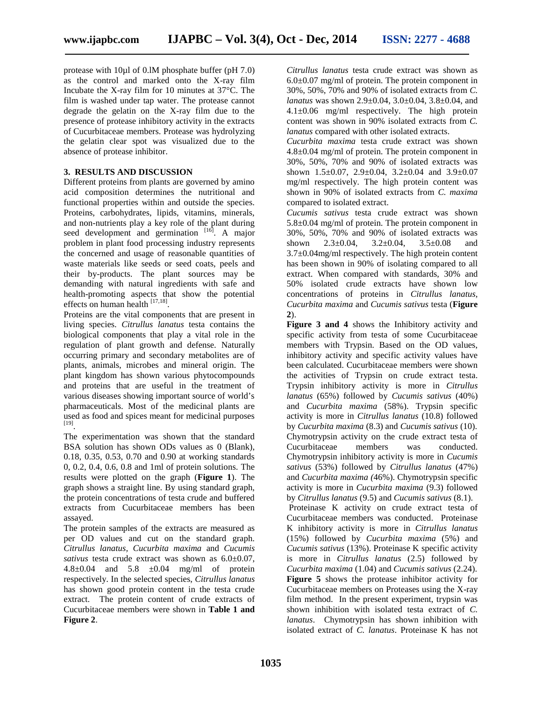protease with 10µl of 0.lM phosphate buffer (pH 7.0) as the control and marked onto the X-ray film Incubate the X-ray film for 10 minutes at 37°C. The film is washed under tap water. The protease cannot degrade the gelatin on the X-ray film due to the presence of protease inhibitory activity in the extracts of Cucurbitaceae members. Protease was hydrolyzing the gelatin clear spot was visualized due to the absence of protease inhibitor.

#### **3. RESULTS AND DISCUSSION**

Different proteins from plants are governed by amino acid composition determines the nutritional and functional properties within and outside the species. Proteins, carbohydrates, lipids, vitamins, minerals, and non-nutrients play a key role of the plant during seed development and germination <sup>[16]</sup>. A major problem in plant food processing industry represents the concerned and usage of reasonable quantities of waste materials like seeds or seed coats, peels and their by-products. The plant sources may be demanding with natural ingredients with safe and health-promoting aspects that show the potential effects on human health [17,18].

Proteins are the vital components that are present in living species. *Citrullus lanatus* testa contains the biological components that play a vital role in the regulation of plant growth and defense. Naturally occurring primary and secondary metabolites are of plants, animals, microbes and mineral origin. The plant kingdom has shown various phytocompounds and proteins that are useful in the treatment of various diseases showing important source of world's pharmaceuticals. Most of the medicinal plants are used as food and spices meant for medicinal purposes [19].

The experimentation was shown that the standard BSA solution has shown ODs values as 0 (Blank), 0.18, 0.35, 0.53, 0.70 and 0.90 at working standards 0, 0.2, 0.4, 0.6, 0.8 and 1ml of protein solutions. The results were plotted on the graph (**Figure 1**). The graph shows a straight line. By using standard graph, the protein concentrations of testa crude and buffered extracts from Cucurbitaceae members has been assayed.

The protein samples of the extracts are measured as per OD values and cut on the standard graph. *Citrullus lanatus, Cucurbita maxima* and *Cucumis sativus* testa crude extract was shown as 6.0±0.07, 4.8 $\pm$ 0.04 and 5.8  $\pm$ 0.04 mg/ml of protein respectively. In the selected species, *Citrullus lanatus* has shown good protein content in the testa crude extract. The protein content of crude extracts of Cucurbitaceae members were shown in **Table 1 and Figure 2**.

*Citrullus lanatus* testa crude extract was shown as  $6.0\pm0.07$  mg/ml of protein. The protein component in 30%, 50%, 70% and 90% of isolated extracts from *C. lanatus* was shown 2.9±0.04, 3.0±0.04, 3.8±0.04, and 4.1±0.06 mg/ml respectively. The high protein content was shown in 90% isolated extracts from *C. lanatus* compared with other isolated extracts.

*Cucurbita maxima* testa crude extract was shown 4.8±0.04 mg/ml of protein. The protein component in 30%, 50%, 70% and 90% of isolated extracts was shown  $1.5\pm0.07$ ,  $2.9\pm0.04$ ,  $3.2\pm0.04$  and  $3.9\pm0.07$ mg/ml respectively. The high protein content was shown in 90% of isolated extracts from *C. maxima* compared to isolated extract.

*Cucumis sativus* testa crude extract was shown 5.8±0.04 mg/ml of protein. The protein component in 30%, 50%, 70% and 90% of isolated extracts was shown  $2.3 \pm 0.04$ ,  $3.2 \pm 0.04$ ,  $3.5 \pm 0.08$  and 3.7±0.04mg/ml respectively. The high protein content has been shown in 90% of isolating compared to all extract. When compared with standards, 30% and 50% isolated crude extracts have shown low concentrations of proteins in *Citrullus lanatus, Cucurbita maxima* and *Cucumis sativus* testa (**Figure 2**).

**Figure 3 and 4** shows the Inhibitory activity and specific activity from testa of some Cucurbitaceae members with Trypsin. Based on the OD values, inhibitory activity and specific activity values have been calculated. Cucurbitaceae members were shown the activities of Trypsin on crude extract testa. Trypsin inhibitory activity is more in *Citrullus lanatus* (65%) followed by *Cucumis sativus* (40%) and *Cucurbita maxima* (58%). Trypsin specific activity is more in *Citrullus lanatus* (10.8) followed by *Cucurbita maxima* (8.3) and *Cucumis sativus* (10). Chymotrypsin activity on the crude extract testa of Cucurbitaceae members was conducted. Chymotrypsin inhibitory activity is more in *Cucumis sativus* (53%) followed by *Citrullus lanatus* (47%) and *Cucurbita maxima (*46%). Chymotrypsin specific activity is more in *Cucurbita maxima* (9.3) followed by *Citrullus lanatus* (9.5) and *Cucumis sativus* (8.1).

Proteinase K activity on crude extract testa of Cucurbitaceae members was conducted. Proteinase K inhibitory activity is more in *Citrullus lanatus* (15%) followed by *Cucurbita maxima* (5%) and *Cucumis sativus* (13%). Proteinase K specific activity is more in *Citrullus lanatus* (2.5) followed by *Cucurbita maxima* (1.04) and *Cucumis sativus* (2.24). **Figure 5** shows the protease inhibitor activity for Cucurbitaceae members on Proteases using the X-ray film method. In the present experiment, trypsin was shown inhibition with isolated testa extract of *C. lanatus*. Chymotrypsin has shown inhibition with isolated extract of *C. lanatus*. Proteinase K has not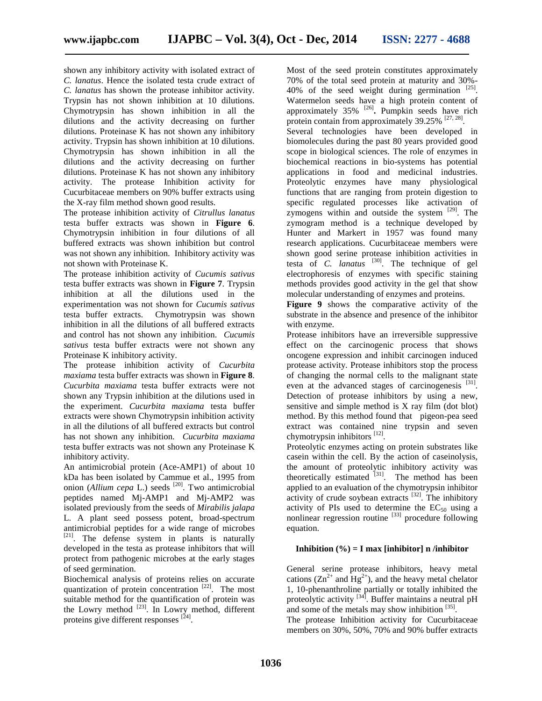shown any inhibitory activity with isolated extract of *C. lanatus*. Hence the isolated testa crude extract of *C. lanatus* has shown the protease inhibitor activity. Trypsin has not shown inhibition at 10 dilutions. Chymotrypsin has shown inhibition in all the dilutions and the activity decreasing on further dilutions. Proteinase K has not shown any inhibitory activity. Trypsin has shown inhibition at 10 dilutions. Chymotrypsin has shown inhibition in all the dilutions and the activity decreasing on further dilutions. Proteinase K has not shown any inhibitory activity. The protease Inhibition activity for Cucurbitaceae members on 90% buffer extracts using the X-ray film method shown good results.

The protease inhibition activity of*Citrullus lanatus* testa buffer extracts was shown in **Figure 6**. Chymotrypsin inhibition in four dilutions of all buffered extracts was shown inhibition but control was not shown any inhibition. Inhibitory activity was not shown with Proteinase K.

The protease inhibition activity of*Cucumis sativus* testa buffer extracts was shown in **Figure 7**. Trypsin inhibition at all the dilutions used in the experimentation was not shown for *Cucumis sativus* testa buffer extracts. Chymotrypsin was shown inhibition in all the dilutions of all buffered extracts and control has not shown any inhibition. *Cucumis sativus* testa buffer extracts were not shown any Proteinase K inhibitory activity.

The protease inhibition activity of *Cucurbita maxiama* testa buffer extracts was shown in **Figure 8**. *Cucurbita maxiama* testa buffer extracts were not shown any Trypsin inhibition at the dilutions used in the experiment. *Cucurbita maxiama* testa buffer extracts were shown Chymotrypsin inhibition activity in all the dilutions of all buffered extracts but control has not shown any inhibition. *Cucurbita maxiama* testa buffer extracts was not shown any Proteinase K inhibitory activity.

An antimicrobial protein (Ace-AMP1) of about 10 kDa has been isolated by Cammue et al., 1995 from onion (*Allium cepa* L.) seeds <sup>[20]</sup>. Two antimicrobial peptides named Mj-AMP1 and Mj-AMP2 was isolated previously from the seeds of *Mirabilis jalapa* L. A plant seed possess potent, broad-spectrum antimicrobial peptides for a wide range of microbes  $[21]$ . The defense system in plants is naturally developed in the testa as protease inhibitors that will protect from pathogenic microbes at the early stages of seed germination.

Biochemical analysis of proteins relies on accurate quantization of protein concentration <sup>[22]</sup>. The most suitable method for the quantification of protein was the Lowry method  $^{[23]}$ . In Lowry method, different proteins give different responses [24].

Most of the seed protein constitutes approximately 70% of the total seed protein at maturity and 30%- 40% of the seed weight during germination  $^{[25]}$ . Watermelon seeds have a high protein content of approximately 35% [26]**.** Pumpkin seeds have rich protein contain from approximately 39.25% <sup>[27, 28]</sup>.

Several technologies have been developed in biomolecules during the past 80 years provided good scope in biological sciences. The role of enzymes in biochemical reactions in bio-systems has potential applications in food and medicinal industries. Proteolytic enzymes have many physiological functions that are ranging from protein digestion to specific regulated processes like activation of zymogens within and outside the system  $[29]$ . The zymogram method is a technique developed by Hunter and Markert in 1957 was found many research applications. Cucurbitaceae members were shown good serine protease inhibition activities in testa of *C. lanatus*  $^{[30]}$ . The technique of gel electrophoresis of enzymes with specific staining methods provides good activity in the gel that show molecular understanding of enzymes and proteins.

**Figure 9** shows the comparative activity of the substrate in the absence and presence of the inhibitor with enzyme.

Protease inhibitors have an irreversible suppressive effect on the carcinogenic process that shows oncogene expression and inhibit carcinogen induced protease activity. Protease inhibitors stop the process of changing the normal cells to the malignant state even at the advanced stages of carcinogenesis [31]. Detection of protease inhibitors by using a new, sensitive and simple method is  $X$  ray film (dot blot) method. By this method found that pigeon-pea seed extract was contained nine trypsin and seven chymotrypsin inhibitors [12].

Proteolytic enzymes acting on protein substrates like casein within the cell. By the action of caseinolysis, the amount of proteolytic inhibitory activity was theoretically estimated <sup>[31]</sup>. The method has been applied to an evaluation of the chymotrypsin inhibitor activity of crude soybean extracts  $[32]$ . The inhibitory activity of PIs used to determine the  $EC_{50}$  using a nonlinear regression routine  $[33]$  procedure following equation.

#### **Inhibition**  $(\%) = I$  max [inhibitor] n /inhibitor

General serine protease inhibitors, heavy metal cations  $(Zn^{2+}$  and  $Hg^{2+}$ ), and the heavy metal chelator 1, 10-phenanthroline partially or totally inhibited the proteolytic activity <sup>[34]</sup>. Buffer maintains a neutral pH and some of the metals may show inhibition [35].

The protease Inhibition activity for Cucurbitaceae members on 30%, 50%, 70% and 90% buffer extracts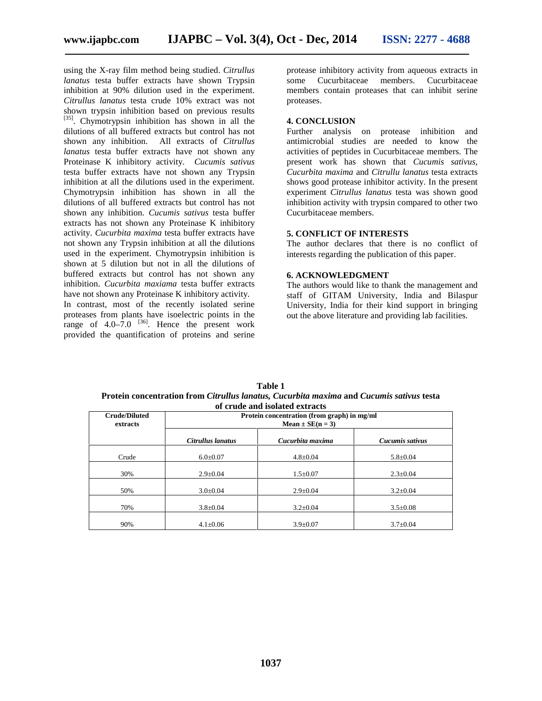using the X-ray film method being studied. *Citrullus lanatus* testa buffer extracts have shown Trypsin some inhibition at 90% dilution used in the experiment. *Citrullus lanatus* testa crude 10% extract was not shown trypsin inhibition based on previous results [35]. Chymotrypsin inhibition has shown in all the dilutions of all buffered extracts but control has not shown any inhibition. All extracts of *Citrullus* All extracts of *Citrullus lanatus* testa buffer extracts have not shown any Proteinase K inhibitory activity. *Cucumis sativus* testa buffer extracts have not shown any Trypsin inhibition at all the dilutions used in the experiment. Chymotrypsin inhibition has shown in all the dilutions of all buffered extracts but control has not shown any inhibition. *Cucumis sativus* testa buffer extracts has not shown any Proteinase K inhibitory activity. *Cucurbita maxima* testa buffer extracts have not shown any Trypsin inhibition at all the dilutions used in the experiment. Chymotrypsin inhibition is shown at 5 dilution but not in all the dilutions of buffered extracts but control has not shown any inhibition. *Cucurbita maxiama* testa buffer extracts have not shown any Proteinase K inhibitory activity.

In contrast, most of the recently isolated serine proteases from plants have isoelectric points in the range of  $4.0-7.0$  <sup>[36]</sup>. Hence the present work provided the quantification of proteins and serine

protease inhibitory activity from aqueous extracts in Cucurbitaceae members. Cucurbitaceae members contain proteases that can inhibit serine proteases.

#### **4. CONCLUSION**

Further analysis on protease inhibition and antimicrobial studies are needed to know the activities of peptides in Cucurbitaceae members. The present work has shown that *Cucumis sativus*, *Cucurbita maxima* and *Citrullu lanatus* testa extracts shows good protease inhibitor activity. In the present experiment *Citrullus lanatus* testa was shown good inhibition activity with trypsin compared to other two Cucurbitaceae members.

#### **5. CONFLICT OF INTERESTS**

The author declares that there is no conflict of interests regarding the publication of this paper.

#### **6. ACKNOWLEDGMENT**

The authors would like to thank the management and staff of GITAM University, India and Bilaspur University, India for their kind support in bringing out the above literature and providing lab facilities.

| Table 1                                                                                  |
|------------------------------------------------------------------------------------------|
| Protein concentration from Citrullus lanatus, Cucurbita maxima and Cucumis sativus testa |
| of crude and isolated extracts                                                           |

| or er uue anu isolated extraets  |                                                                     |                  |                 |  |
|----------------------------------|---------------------------------------------------------------------|------------------|-----------------|--|
| <b>Crude/Diluted</b><br>extracts | Protein concentration (from graph) in mg/ml<br>$Mean \pm SE(n = 3)$ |                  |                 |  |
|                                  | Citrullus lanatus                                                   | Cucurbita maxima | Cucumis sativus |  |
| Crude                            | $6.0 \pm 0.07$                                                      | $4.8 \pm 0.04$   | $5.8 \pm 0.04$  |  |
| 30%                              | $2.9 \pm 0.04$                                                      | $1.5 \pm 0.07$   | $2.3 \pm 0.04$  |  |
| 50%                              | $3.0 \pm 0.04$                                                      | $2.9 \pm 0.04$   | $3.2 \pm 0.04$  |  |
| 70%                              | $3.8 \pm 0.04$                                                      | $3.2 \pm 0.04$   | $3.5 \pm 0.08$  |  |
| 90%                              | $4.1 \pm 0.06$                                                      | $3.9 \pm 0.07$   | $3.7 \pm 0.04$  |  |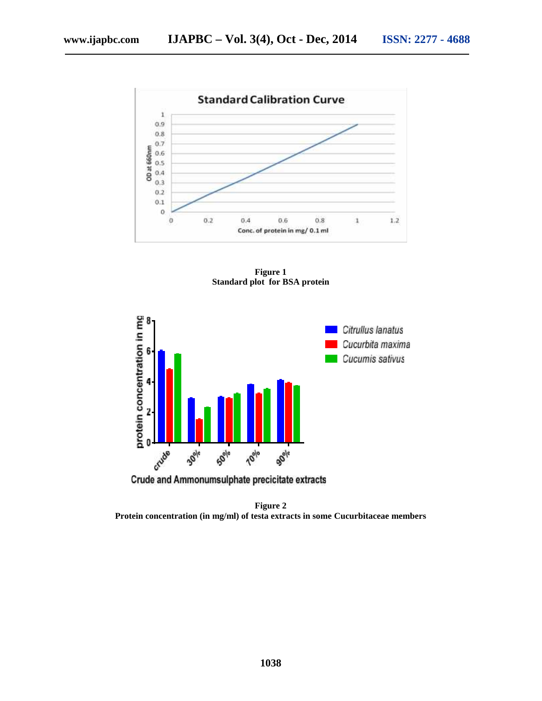

**Figure 1 Standard plot for BSA protein**



**Crude and Ammonumsulphate precicitate extracts** 

**Figure 2 Protein concentration (in mg/ml) of testa extracts in some Cucurbitaceae members**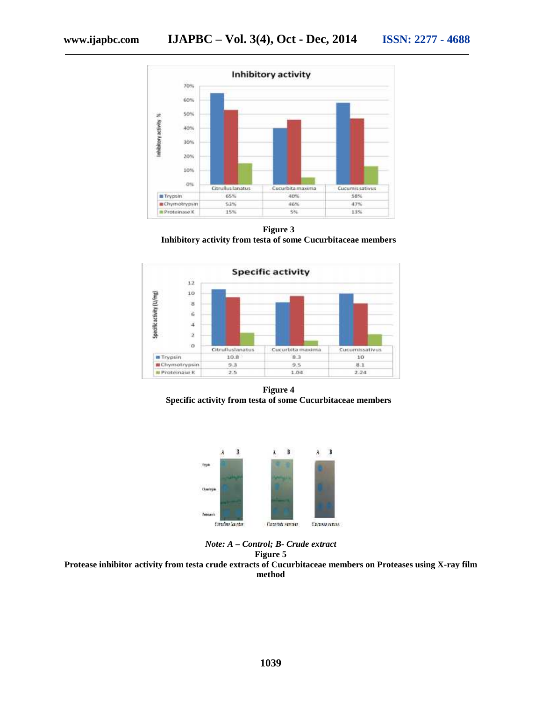

**Figure 3 Inhibitory activity from testa of some Cucurbitaceae members**



**Figure 4 Specific activity from testa of some Cucurbitaceae members**



*Note: A – Control; B- Crude extract* **Figure 5**

**Protease inhibitor activity from testa crude extracts of Cucurbitaceae members on Proteases using X-ray film method**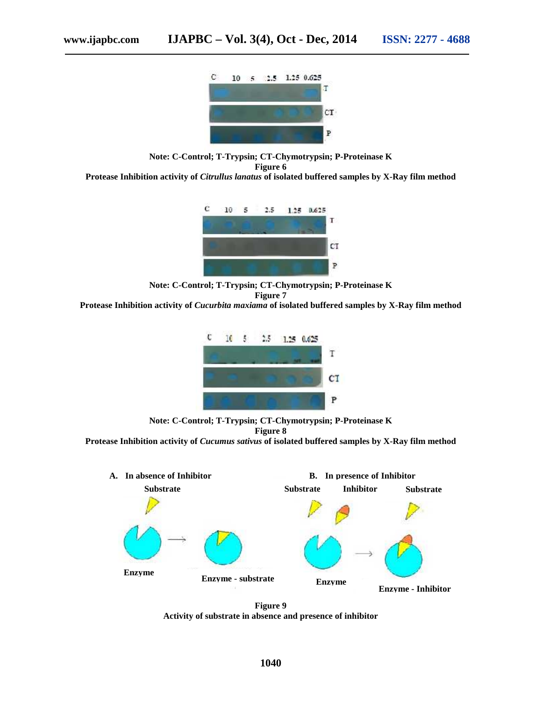**Note: C-Control; T-Trypsin; CT-Chymotrypsin; P-Proteinase K**

**Figure 6**

**Protease Inhibition activity of** *Citrullus lanatus* **of isolated buffered samples by X-Ray film method**



**Note: C-Control; T-Trypsin; CT-Chymotrypsin; P-Proteinase K Figure 7**

**Protease Inhibition activity of** *Cucurbita maxiama* **of isolated buffered samples by X-Ray film method**



**Note: C-Control; T-Trypsin; CT-Chymotrypsin; P-Proteinase K Figure 8 Protease Inhibition activity of** *Cucumus sativus* **of isolated buffered samples by X-Ray film method**



**Figure 9 Activity of substrate in absence and presence of inhibitor**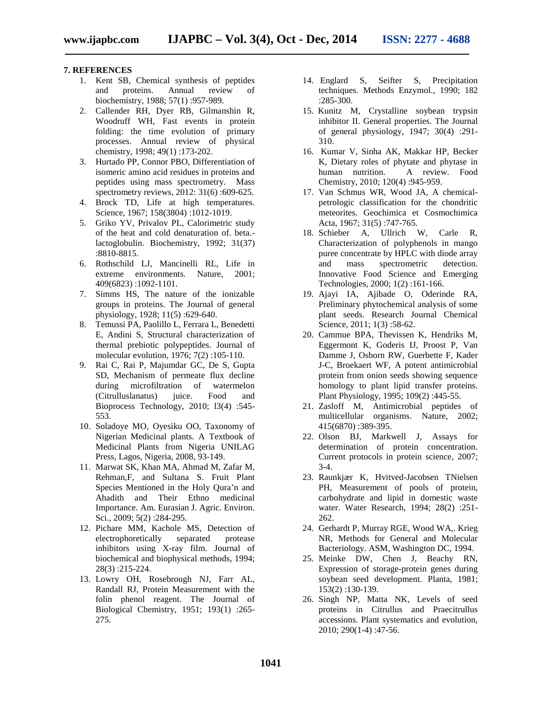#### **7. REFERENCES**

- 1. Kent SB, Chemical synthesis of peptides and proteins. Annual review of biochemistry, 1988; 57(1) :957-989.
- 2. Callender RH, Dyer RB, Gilmanshin R, Woodruff WH, Fast events in protein folding: the time evolution of primary processes. Annual review of physical chemistry, 1998; 49(1) :173-202.
- 3. Hurtado PP, Connor PBO, Differentiation of isomeric amino acid residues in proteins and peptides using mass spectrometry. Mass spectrometry reviews, 2012: 31(6) :609-625.
- 4. Brock TD, Life at high temperatures. Science, 1967; 158(3804):1012-1019.
- 5. Griko YV, Privalov PL, Calorimetric study of the heat and cold denaturation of. beta. lactoglobulin. Biochemistry, 1992; 31(37) :8810-8815.
- 6. Rothschild LJ, Mancinelli RL, Life in extreme environments. Nature, 2001; 409(6823) :1092-1101.
- 7. Simms HS, The nature of the ionizable groups in proteins. The Journal of general physiology, 1928; 11(5) :629-640.
- 8. Temussi PA, Paolillo L, Ferrara L, Benedetti E, Andini S, Structural characterization of thermal prebiotic polypeptides. Journal of molecular evolution, 1976; 7(2) :105-110.
- 9. Rai C, Rai P, Majumdar GC, De S, Gupta SD, Mechanism of permeate flux decline during microfiltration of watermelon<br>(Citrulluslanatus) juice. Food and (Citrulluslanatus) juice. Food and Bioprocess Technology, 2010; l3(4) :545- 553.
- 10. Soladoye MO, Oyesiku OO, Taxonomy of Nigerian Medicinal plants. A Textbook of Medicinal Plants from Nigeria UNILAG Press, Lagos, Nigeria, 2008, 93-149.
- 11. Marwat SK, Khan MA, Ahmad M, Zafar M, Rehman,F, and Sultana S. Fruit Plant Species Mentioned in the Holy Qura'n and Ahadith and Their Ethno medicinal Importance. Am. Eurasian J. Agric. Environ. Sci., 2009; 5(2):284-295.
- 12. Pichare MM, Kachole MS, Detection of electrophoretically separated protease inhibitors using X-ray film. Journal of biochemical and biophysical methods, 1994; 28(3) :215-224.
- 13. Lowry OH, Rosebrough NJ, Farr AL, Randall RJ, Protein Measurement with the folin phenol reagent. The Journal of Biological Chemistry, 1951; 193(1) :265- 275.
- 14. Englard S, Seifter S, Precipitation techniques. Methods Enzymol., 1990; 182 :285-300.
- 15. Kunitz M, Crystalline soybean trypsin inhibitor II. General properties. The Journal of general physiology, 1947; 30(4) :291- 310.
- 16. Kumar V, Sinha AK, Makkar HP, Becker K, Dietary roles of phytate and phytase in<br>human nutrition. A review. Food A review. Food Chemistry, 2010; 120(4) :945-959.
- 17. Van Schmus WR, Wood JA, A chemicalpetrologic classification for the chondritic meteorites. Geochimica et Cosmochimica Acta, 1967; 31(5) :747-765.
- 18. Schieber A, Ullrich W, Carle R, Characterization of polyphenols in mango puree concentrate by HPLC with diode array and mass spectrometric detection. Innovative Food Science and Emerging Technologies, 2000; 1(2) :161-166.
- 19. Ajayi IA, Ajibade O, Oderinde RA, Preliminary phytochemical analysis of some plant seeds. Research Journal Chemical Science, 2011; 1(3):58-62.
- 20. Cammue BPA, Thevissen K, Hendriks M, Eggermont K, Goderis IJ, Proost P, Van Damme J, Osborn RW, Guerbette F, Kader J-C, Broekaert WF, A potent antimicrobial protein from onion seeds showing sequence homology to plant lipid transfer proteins. Plant Physiology, 1995; 109(2) :445-55.
- 21. Zasloff M, Antimicrobial peptides of multicellular organisms. Nature, 2002; 415(6870) :389-395.
- 22. Olson BJ, Markwell J, Assays for determination of protein concentration. Current protocols in protein science, 2007; 3-4.
- 23. Raunkjær K, Hvitved-Jacobsen TNielsen PH, Measurement of pools of protein, carbohydrate and lipid in domestic waste water. Water Research, 1994; 28(2) :251- 262.
- 24. Gerhardt P, Murray RGE, Wood WA,. Krieg NR, Methods for General and Molecular Bacteriology. ASM, Washington DC, 1994.
- 25. Meinke DW, Chen J, Beachy RN, Expression of storage-protein genes during soybean seed development. Planta, 1981; 153(2) :130-139.
- 26. Singh NP, Matta NK, Levels of seed proteins in Citrullus and Praecitrullus accessions. Plant systematics and evolution, 2010; 290(1-4) :47-56.